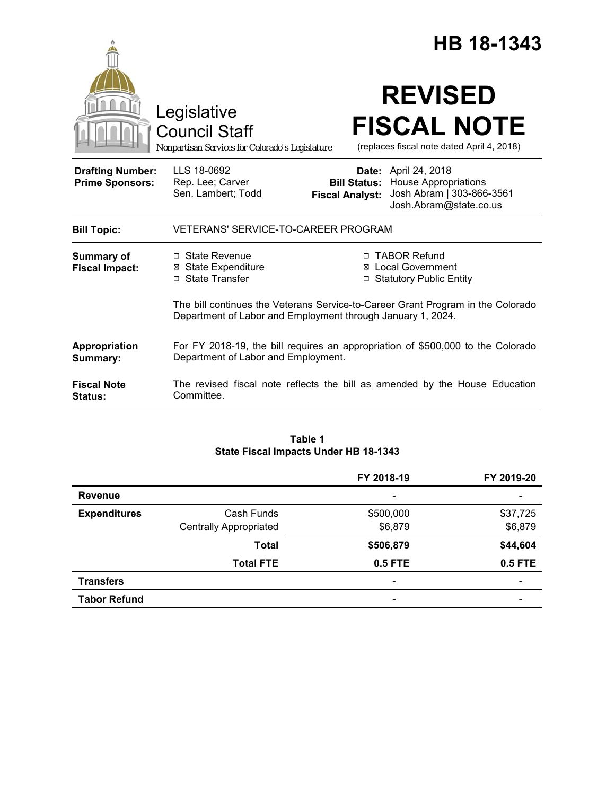|                                                   |                                                                                                                                                | HB 18-1343                                                                                                                                               |  |
|---------------------------------------------------|------------------------------------------------------------------------------------------------------------------------------------------------|----------------------------------------------------------------------------------------------------------------------------------------------------------|--|
|                                                   | Legislative<br><b>Council Staff</b><br>Nonpartisan Services for Colorado's Legislature                                                         | <b>REVISED</b><br><b>FISCAL NOTE</b><br>(replaces fiscal note dated April 4, 2018)                                                                       |  |
| <b>Drafting Number:</b><br><b>Prime Sponsors:</b> | LLS 18-0692<br>Rep. Lee; Carver<br>Sen. Lambert; Todd                                                                                          | <b>Date:</b> April 24, 2018<br><b>Bill Status: House Appropriations</b><br>Josh Abram   303-866-3561<br><b>Fiscal Analyst:</b><br>Josh.Abram@state.co.us |  |
| <b>Bill Topic:</b>                                | <b>VETERANS' SERVICE-TO-CAREER PROGRAM</b>                                                                                                     |                                                                                                                                                          |  |
| Summary of<br><b>Fiscal Impact:</b>               | $\Box$ State Revenue<br>⊠ State Expenditure<br>□ State Transfer                                                                                | □ TABOR Refund<br><b>⊠</b> Local Government<br>□ Statutory Public Entity                                                                                 |  |
|                                                   | The bill continues the Veterans Service-to-Career Grant Program in the Colorado<br>Department of Labor and Employment through January 1, 2024. |                                                                                                                                                          |  |
| Appropriation<br>Summary:                         | For FY 2018-19, the bill requires an appropriation of \$500,000 to the Colorado<br>Department of Labor and Employment.                         |                                                                                                                                                          |  |
| <b>Fiscal Note</b><br>Status:                     | The revised fiscal note reflects the bill as amended by the House Education<br>Committee.                                                      |                                                                                                                                                          |  |

### **Table 1 State Fiscal Impacts Under HB 18-1343**

|                     |                               | FY 2018-19                   | FY 2019-20               |
|---------------------|-------------------------------|------------------------------|--------------------------|
| <b>Revenue</b>      |                               | $\qquad \qquad \blacksquare$ |                          |
| <b>Expenditures</b> | Cash Funds                    | \$500,000                    | \$37,725                 |
|                     | <b>Centrally Appropriated</b> | \$6,879                      | \$6,879                  |
|                     | <b>Total</b>                  | \$506,879                    | \$44,604                 |
|                     | <b>Total FTE</b>              | 0.5 FTE                      | 0.5 FTE                  |
| <b>Transfers</b>    |                               | $\overline{\phantom{a}}$     | $\overline{\phantom{0}}$ |
| <b>Tabor Refund</b> |                               | $\overline{\phantom{a}}$     | $\overline{\phantom{0}}$ |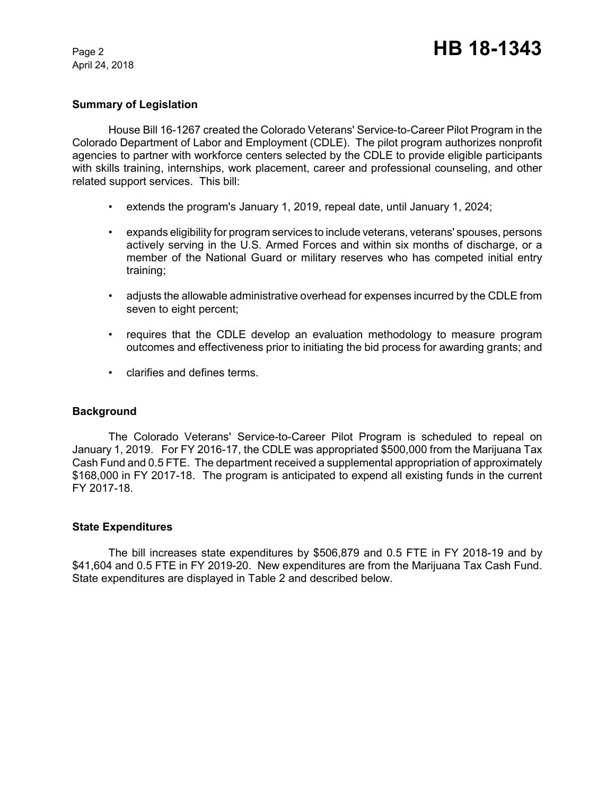April 24, 2018

### **Summary of Legislation**

House Bill 16-1267 created the Colorado Veterans' Service-to-Career Pilot Program in the Colorado Department of Labor and Employment (CDLE). The pilot program authorizes nonprofit agencies to partner with workforce centers selected by the CDLE to provide eligible participants with skills training, internships, work placement, career and professional counseling, and other related support services. This bill:

- extends the program's January 1, 2019, repeal date, until January 1, 2024;
- expands eligibility for program services to include veterans, veterans' spouses, persons actively serving in the U.S. Armed Forces and within six months of discharge, or a member of the National Guard or military reserves who has competed initial entry training;
- adjusts the allowable administrative overhead for expenses incurred by the CDLE from seven to eight percent;
- requires that the CDLE develop an evaluation methodology to measure program outcomes and effectiveness prior to initiating the bid process for awarding grants; and
- clarifies and defines terms.

#### **Background**

The Colorado Veterans' Service-to-Career Pilot Program is scheduled to repeal on January 1, 2019. For FY 2016-17, the CDLE was appropriated \$500,000 from the Marijuana Tax Cash Fund and 0.5 FTE. The department received a supplemental appropriation of approximately \$168,000 in FY 2017-18. The program is anticipated to expend all existing funds in the current FY 2017-18.

#### **State Expenditures**

The bill increases state expenditures by \$506,879 and 0.5 FTE in FY 2018-19 and by \$41,604 and 0.5 FTE in FY 2019-20. New expenditures are from the Marijuana Tax Cash Fund. State expenditures are displayed in Table 2 and described below.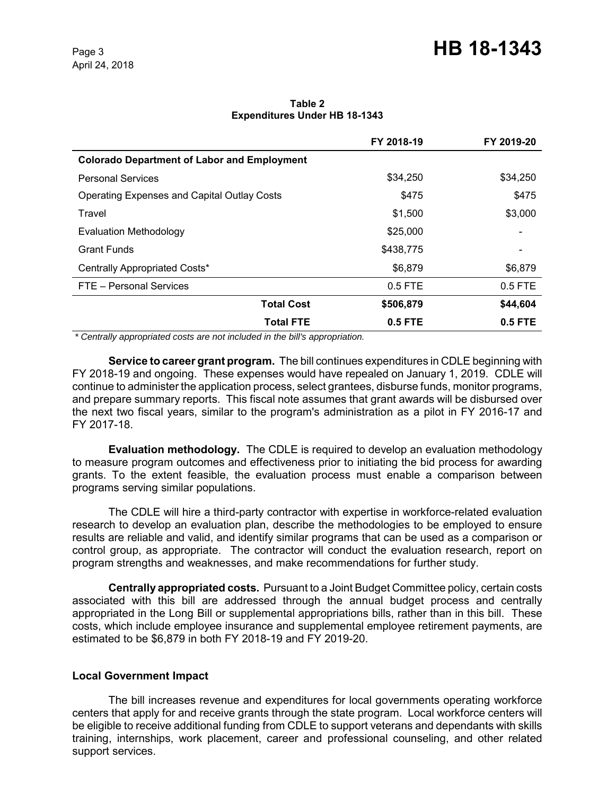**Table 2 Expenditures Under HB 18-1343**

|                                                    | FY 2018-19 | FY 2019-20                   |
|----------------------------------------------------|------------|------------------------------|
| <b>Colorado Department of Labor and Employment</b> |            |                              |
| <b>Personal Services</b>                           | \$34,250   | \$34,250                     |
| <b>Operating Expenses and Capital Outlay Costs</b> | \$475      | \$475                        |
| Travel                                             | \$1,500    | \$3,000                      |
| Evaluation Methodology                             | \$25,000   | $\qquad \qquad \blacksquare$ |
| <b>Grant Funds</b>                                 | \$438,775  |                              |
| Centrally Appropriated Costs*                      | \$6,879    | \$6,879                      |
| FTE - Personal Services                            | $0.5$ FTE  | $0.5$ FTE                    |
| <b>Total Cost</b>                                  | \$506,879  | \$44,604                     |
| <b>Total FTE</b>                                   | $0.5$ FTE  | $0.5$ FTE                    |

 *\* Centrally appropriated costs are not included in the bill's appropriation.*

**Service to career grant program.** The bill continues expenditures in CDLE beginning with FY 2018-19 and ongoing. These expenses would have repealed on January 1, 2019. CDLE will continue to administer the application process, select grantees, disburse funds, monitor programs, and prepare summary reports. This fiscal note assumes that grant awards will be disbursed over the next two fiscal years, similar to the program's administration as a pilot in FY 2016-17 and FY 2017-18.

**Evaluation methodology.** The CDLE is required to develop an evaluation methodology to measure program outcomes and effectiveness prior to initiating the bid process for awarding grants. To the extent feasible, the evaluation process must enable a comparison between programs serving similar populations.

The CDLE will hire a third-party contractor with expertise in workforce-related evaluation research to develop an evaluation plan, describe the methodologies to be employed to ensure results are reliable and valid, and identify similar programs that can be used as a comparison or control group, as appropriate. The contractor will conduct the evaluation research, report on program strengths and weaknesses, and make recommendations for further study.

**Centrally appropriated costs.** Pursuant to a Joint Budget Committee policy, certain costs associated with this bill are addressed through the annual budget process and centrally appropriated in the Long Bill or supplemental appropriations bills, rather than in this bill. These costs, which include employee insurance and supplemental employee retirement payments, are estimated to be \$6,879 in both FY 2018-19 and FY 2019-20.

#### **Local Government Impact**

The bill increases revenue and expenditures for local governments operating workforce centers that apply for and receive grants through the state program. Local workforce centers will be eligible to receive additional funding from CDLE to support veterans and dependants with skills training, internships, work placement, career and professional counseling, and other related support services.